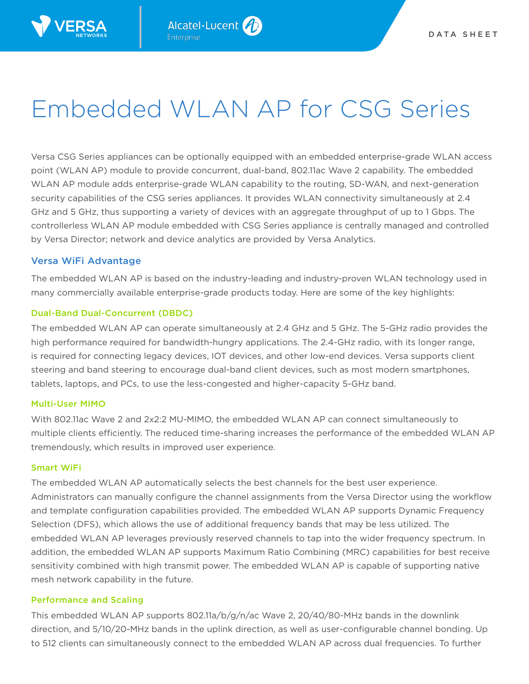

# Embedded WLAN AP for CSG Series

Versa CSG Series appliances can be optionally equipped with an embedded enterprise-grade WLAN access point (WLAN AP) module to provide concurrent, dual-band, 802.11ac Wave 2 capability. The embedded WLAN AP module adds enterprise-grade WLAN capability to the routing, SD-WAN, and next-generation security capabilities of the CSG series appliances. It provides WLAN connectivity simultaneously at 2.4 GHz and 5 GHz, thus supporting a variety of devices with an aggregate throughput of up to 1 Gbps. The controllerless WLAN AP module embedded with CSG Series appliance is centrally managed and controlled by Versa Director; network and device analytics are provided by Versa Analytics.

# Versa WiFi Advantage

The embedded WLAN AP is based on the industry-leading and industry-proven WLAN technology used in many commercially available enterprise-grade products today. Here are some of the key highlights:

# Dual-Band Dual-Concurrent (DBDC)

The embedded WLAN AP can operate simultaneously at 2.4 GHz and 5 GHz. The 5-GHz radio provides the high performance required for bandwidth-hungry applications. The 2.4-GHz radio, with its longer range, is required for connecting legacy devices, IOT devices, and other low-end devices. Versa supports client steering and band steering to encourage dual-band client devices, such as most modern smartphones, tablets, laptops, and PCs, to use the less-congested and higher-capacity 5-GHz band.

# Multi-User MIMO

With 802.11ac Wave 2 and 2x2:2 MU-MIMO, the embedded WLAN AP can connect simultaneously to multiple clients efficiently. The reduced time-sharing increases the performance of the embedded WLAN AP tremendously, which results in improved user experience.

# Smart WiFi

The embedded WLAN AP automatically selects the best channels for the best user experience. Administrators can manually configure the channel assignments from the Versa Director using the workflow and template configuration capabilities provided. The embedded WLAN AP supports Dynamic Frequency Selection (DFS), which allows the use of additional frequency bands that may be less utilized. The embedded WLAN AP leverages previously reserved channels to tap into the wider frequency spectrum. In addition, the embedded WLAN AP supports Maximum Ratio Combining (MRC) capabilities for best receive sensitivity combined with high transmit power. The embedded WLAN AP is capable of supporting native mesh network capability in the future.

# Performance and Scaling

This embedded WLAN AP supports  $802.11a/b/g/n/ac$  Wave 2,  $20/40/80-MHz$  bands in the downlink direction, and 5/10/20-MHz bands in the uplink direction, as well as user-configurable channel bonding. Up to 512 clients can simultaneously connect to the embedded WLAN AP across dual frequencies. To further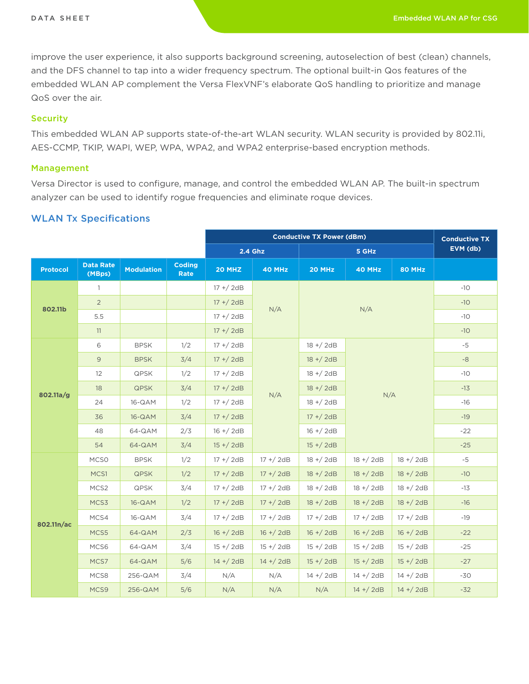improve the user experience, it also supports background screening, autoselection of best (clean) channels, and the DFS channel to tap into a wider frequency spectrum. The optional built-in Qos features of the embedded WLAN AP complement the Versa FlexVNF's elaborate QoS handling to prioritize and manage QoS over the air.

#### **Security**

This embedded WLAN AP supports state-of-the-art WLAN security. WLAN security is provided by 802.11i, AES-CCMP, TKIP, WAPI, WEP, WPA, WPA2, and WPA2 enterprise-based encryption methods.

#### Management

Versa Director is used to configure, manage, and control the embedded WLAN AP. The built-in spectrum analyzer can be used to identify rogue frequencies and eliminate roque devices.

### WLAN Tx Specifications

|                 |                            |                   |                       | <b>Conductive TX Power (dBm)</b> |              |              |               |              | <b>Conductive TX</b> |
|-----------------|----------------------------|-------------------|-----------------------|----------------------------------|--------------|--------------|---------------|--------------|----------------------|
|                 |                            |                   |                       | 2.4 Ghz                          |              | 5 GHz        |               |              | EVM (db)             |
| <b>Protocol</b> | <b>Data Rate</b><br>(MBps) | <b>Modulation</b> | <b>Coding</b><br>Rate | 20 MHZ                           | 40 MHz       | 20 MHz       | <b>40 MHz</b> | 80 MHz       |                      |
| 802.11b         | $\mathbf{1}$               |                   |                       | $17 + / 2dB$                     |              |              |               | $-10$        |                      |
|                 | $\overline{2}$             |                   |                       | $17 + / 2dB$                     | N/A          | N/A          |               |              | $-10$                |
|                 | 5.5                        |                   |                       | $17 + / 2dB$                     |              |              |               |              | $-10$                |
|                 | 11                         |                   |                       | $17 + / 2dB$                     |              |              |               |              | $-10$                |
| 802.11a/g       | 6                          | <b>BPSK</b>       | 1/2                   | $17 + / 2dB$                     |              | $18 + / 2dB$ | N/A           |              | $-5$                 |
|                 | $\overline{9}$             | <b>BPSK</b>       | 3/4                   | $17 + / 2dB$                     | N/A          | $18 + / 2dB$ |               |              | $-8$                 |
|                 | 12                         | <b>QPSK</b>       | 1/2                   | $17 + / 2dB$                     |              | $18 + / 2dB$ |               |              | $-10$                |
|                 | 18                         | <b>QPSK</b>       | 3/4                   | $17 + / 2dB$                     |              | $18 + / 2dB$ |               |              | $-13$                |
|                 | 24                         | 16-QAM            | 1/2                   | $17 + / 2dB$                     |              | $18 + / 2dB$ |               |              | $-16$                |
|                 | 36                         | 16-QAM            | 3/4                   | $17 + / 2dB$                     |              | $17 + / 2dB$ |               |              | $-19$                |
|                 | 48                         | 64-QAM            | 2/3                   | $16 + / 2dB$                     |              | $16 + / 2dB$ |               |              | $-22$                |
|                 | 54                         | 64-QAM            | 3/4                   | $15 + / 2dB$                     | $15 + / 2dB$ |              |               |              | $-25$                |
| 802.11n/ac      | MCS <sub>0</sub>           | <b>BPSK</b>       | 1/2                   | $17 + / 2dB$                     | $17 + / 2dB$ | $18 + / 2dB$ | $18 + / 2dB$  | $18 + / 2dB$ | $-5$                 |
|                 | MCS1                       | <b>QPSK</b>       | 1/2                   | $17 + / 2dB$                     | $17 + / 2dB$ | $18 + / 2dB$ | $18 + / 2dB$  | $18 + / 2dB$ | $-10$                |
|                 | MCS2                       | QPSK              | 3/4                   | $17 + / 2dB$                     | 17 +/2dB     | $18 + / 2dB$ | 18 +/2dB      | $18 + / 2dB$ | $-13$                |
|                 | MCS3                       | 16-QAM            | 1/2                   | $17 + / 2dB$                     | $17 + / 2dB$ | $18 + / 2dB$ | $18 + / 2dB$  | $18 + / 2dB$ | $-16$                |
|                 | MCS4                       | 16-QAM            | 3/4                   | $17 + / 2dB$                     | $17 + / 2dB$ | $17 + / 2dB$ | $17 + / 2dB$  | $17 + / 2dB$ | $-19$                |
|                 | MCS5                       | 64-QAM            | 2/3                   | $16 + / 2dB$                     | $16 + / 2dB$ | $16 + / 2dB$ | $16 + / 2dB$  | $16 + / 2dB$ | $-22$                |
|                 | MCS6                       | 64-QAM            | 3/4                   | $15 + / 2dB$                     | $15 + / 2dB$ | $15 + / 2dB$ | $15 + / 2dB$  | $15 + / 2dB$ | $-25$                |
|                 | MCS7                       | 64-QAM            | 5/6                   | $14 + / 2dB$                     | $14 + / 2dB$ | $15 + / 2dB$ | $15 + / 2dB$  | $15 + / 2dB$ | $-27$                |
|                 | MCS8                       | 256-QAM           | 3/4                   | N/A                              | N/A          | $14 + / 2dB$ | $14 + / 2dB$  | 14 +/2dB     | $-30$                |
|                 | MCS9                       | 256-QAM           | 5/6                   | N/A                              | N/A          | N/A          | $14 + / 2dB$  | $14 + / 2dB$ | $-32$                |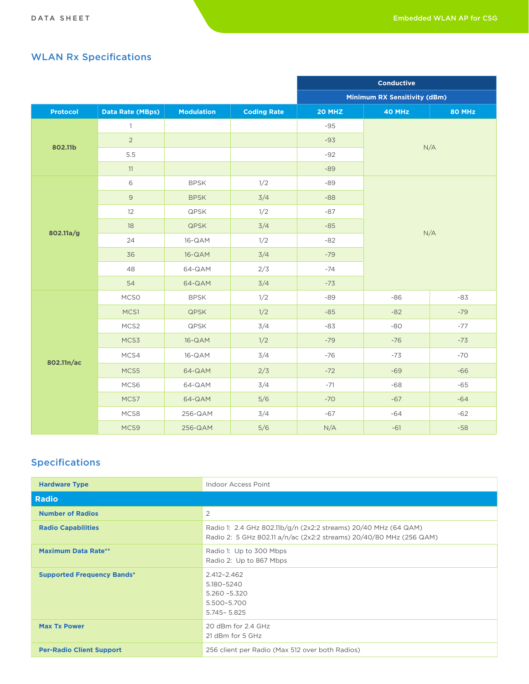# WLAN Rx Specifications

|                 |                         |                   | <b>Conductive</b>  |                              |               |        |  |
|-----------------|-------------------------|-------------------|--------------------|------------------------------|---------------|--------|--|
|                 |                         |                   |                    | Minimum RX Sensitivity (dBm) |               |        |  |
| <b>Protocol</b> | <b>Data Rate (MBps)</b> | <b>Modulation</b> | <b>Coding Rate</b> | 20 MHZ                       | <b>40 MHz</b> | 80 MHz |  |
|                 | $\mathbf{1}$            |                   |                    | $-95$                        |               |        |  |
| 802.11b         | $\overline{2}$          |                   |                    | $-93$                        |               | N/A    |  |
|                 | 5.5                     |                   |                    | $-92$                        |               |        |  |
|                 | 11                      |                   |                    | $-89$                        |               |        |  |
|                 | $\,$ 6 $\,$             | <b>BPSK</b>       | 1/2                | $-89$                        |               |        |  |
|                 | $\mathsf{9}$            | <b>BPSK</b>       | 3/4                | $-88$                        |               |        |  |
|                 | 12                      | QPSK              | 1/2                | $-87$                        | N/A           |        |  |
| 802.11a/g       | 18                      | <b>QPSK</b>       | 3/4                | $-85$                        |               |        |  |
|                 | 24                      | 16-QAM            | 1/2                | $-82$                        |               |        |  |
|                 | 36                      | 16-QAM            | 3/4                | $-79$                        |               |        |  |
|                 | 48                      | 64-QAM            | 2/3                | $-74$                        |               |        |  |
|                 | 54                      | 64-QAM            | 3/4                | $-73$                        |               |        |  |
|                 | MCS <sub>0</sub>        | <b>BPSK</b>       | 1/2                | $-89$                        | $-86$         | $-83$  |  |
|                 | MCS1                    | <b>QPSK</b>       | 1/2                | $-85$                        | $-82$         | $-79$  |  |
|                 | MCS2                    | QPSK              | 3/4                | -83                          | $-80$         | $-77$  |  |
|                 | MCS3                    | 16-QAM            | 1/2                | $-79$                        | $-76$         | $-73$  |  |
| 802.11n/ac      | MCS4                    | 16-QAM            | 3/4                | $-76$                        | $-73$         | $-70$  |  |
|                 | MCS5                    | 64-QAM            | 2/3                | $-72$                        | $-69$         | $-66$  |  |
|                 | MCS6                    | 64-QAM            | 3/4                | $-71$                        | $-68$         | $-65$  |  |
|                 | MCS7                    | 64-QAM            | 5/6                | $-70$                        | $-67$         | $-64$  |  |
|                 | MCS8                    | 256-QAM           | 3/4                | $-67$                        | $-64$         | $-62$  |  |
|                 | MCS9                    | 256-QAM           | 5/6                | N/A                          | $-61$         | $-58$  |  |

# Specifications

| <b>Hardware Type</b>              | Indoor Access Point                                                                                                                    |
|-----------------------------------|----------------------------------------------------------------------------------------------------------------------------------------|
| <b>Radio</b>                      |                                                                                                                                        |
| <b>Number of Radios</b>           | 2                                                                                                                                      |
| <b>Radio Capabilities</b>         | Radio 1: 2.4 GHz 802.11b/g/n (2x2:2 streams) 20/40 MHz (64 QAM)<br>Radio 2: 5 GHz 802.11 a/n/ac (2x2:2 streams) 20/40/80 MHz (256 QAM) |
| <b>Maximum Data Rate**</b>        | Radio 1: Up to 300 Mbps<br>Radio 2: Up to 867 Mbps                                                                                     |
| <b>Supported Frequency Bands*</b> | 2.412-2.462<br>5.180-5240<br>$5.260 - 5.320$<br>5.500-5.700<br>5.745 - 5.825                                                           |
| <b>Max Tx Power</b>               | 20 dBm for 2.4 GHz<br>21 dBm for 5 GHz                                                                                                 |
| <b>Per-Radio Client Support</b>   | 256 client per Radio (Max 512 over both Radios)                                                                                        |